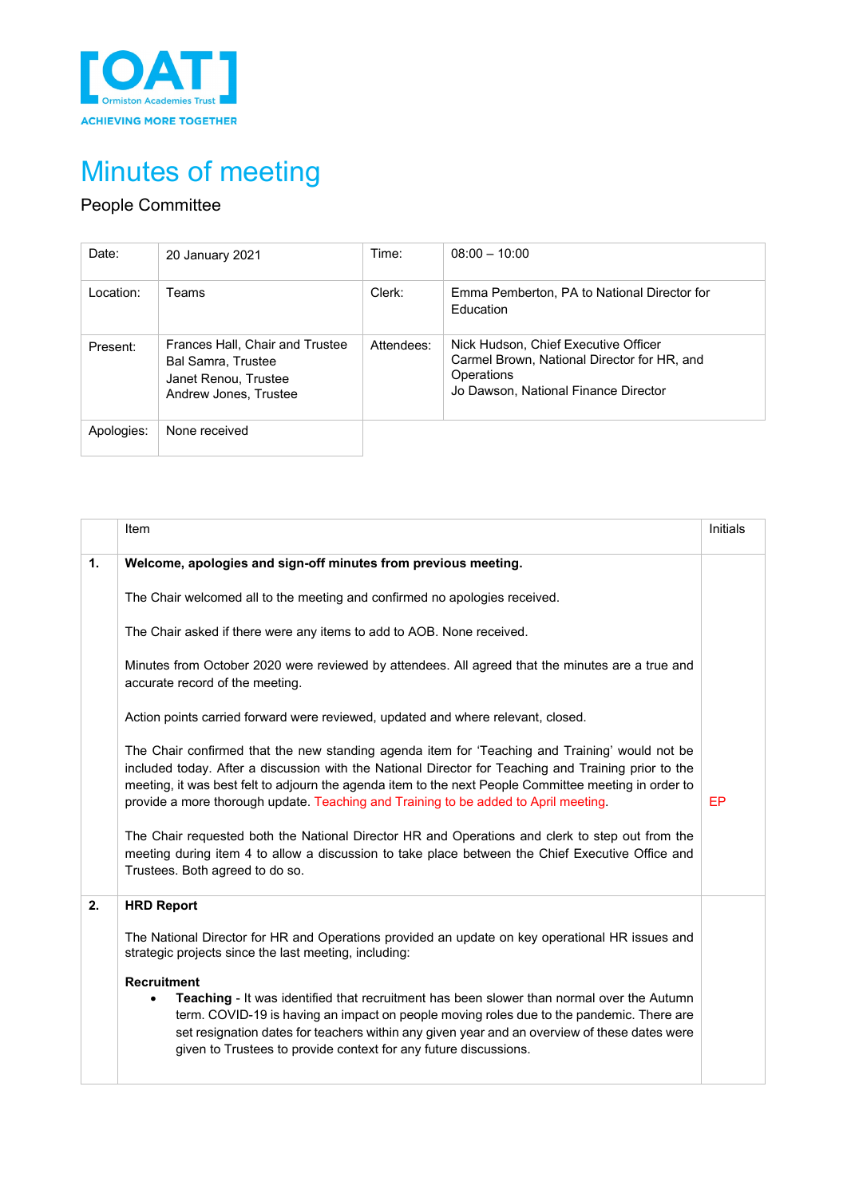

# Minutes of meeting

## People Committee

| Date:      | 20 January 2021                                                                                               | Time:                                                                                                    | $08:00 - 10:00$                                                 |
|------------|---------------------------------------------------------------------------------------------------------------|----------------------------------------------------------------------------------------------------------|-----------------------------------------------------------------|
| Location:  | Teams                                                                                                         | Clerk:                                                                                                   | Emma Pemberton, PA to National Director for<br><b>Education</b> |
| Present:   | Frances Hall, Chair and Trustee<br><b>Bal Samra, Trustee</b><br>Janet Renou. Trustee<br>Andrew Jones, Trustee | Nick Hudson, Chief Executive Officer<br>Attendees:<br>Operations<br>Jo Dawson, National Finance Director | Carmel Brown, National Director for HR, and                     |
| Apologies: | None received                                                                                                 |                                                                                                          |                                                                 |

|                | Item                                                                                                                                                                                                                                                                                                                                                                                                                                                                                                                                                                                                                                             | <b>Initials</b> |
|----------------|--------------------------------------------------------------------------------------------------------------------------------------------------------------------------------------------------------------------------------------------------------------------------------------------------------------------------------------------------------------------------------------------------------------------------------------------------------------------------------------------------------------------------------------------------------------------------------------------------------------------------------------------------|-----------------|
| $\mathbf{1}$ . | Welcome, apologies and sign-off minutes from previous meeting.                                                                                                                                                                                                                                                                                                                                                                                                                                                                                                                                                                                   |                 |
|                | The Chair welcomed all to the meeting and confirmed no apologies received.                                                                                                                                                                                                                                                                                                                                                                                                                                                                                                                                                                       |                 |
|                | The Chair asked if there were any items to add to AOB. None received.                                                                                                                                                                                                                                                                                                                                                                                                                                                                                                                                                                            |                 |
|                | Minutes from October 2020 were reviewed by attendees. All agreed that the minutes are a true and<br>accurate record of the meeting.                                                                                                                                                                                                                                                                                                                                                                                                                                                                                                              |                 |
|                | Action points carried forward were reviewed, updated and where relevant, closed.                                                                                                                                                                                                                                                                                                                                                                                                                                                                                                                                                                 |                 |
|                | The Chair confirmed that the new standing agenda item for 'Teaching and Training' would not be<br>included today. After a discussion with the National Director for Teaching and Training prior to the<br>meeting, it was best felt to adjourn the agenda item to the next People Committee meeting in order to<br>provide a more thorough update. Teaching and Training to be added to April meeting.<br>The Chair requested both the National Director HR and Operations and clerk to step out from the<br>meeting during item 4 to allow a discussion to take place between the Chief Executive Office and<br>Trustees. Both agreed to do so. | EP              |
|                |                                                                                                                                                                                                                                                                                                                                                                                                                                                                                                                                                                                                                                                  |                 |
| 2.             | <b>HRD Report</b><br>The National Director for HR and Operations provided an update on key operational HR issues and<br>strategic projects since the last meeting, including:<br><b>Recruitment</b><br>Teaching - It was identified that recruitment has been slower than normal over the Autumn<br>term. COVID-19 is having an impact on people moving roles due to the pandemic. There are<br>set resignation dates for teachers within any given year and an overview of these dates were<br>given to Trustees to provide context for any future discussions.                                                                                 |                 |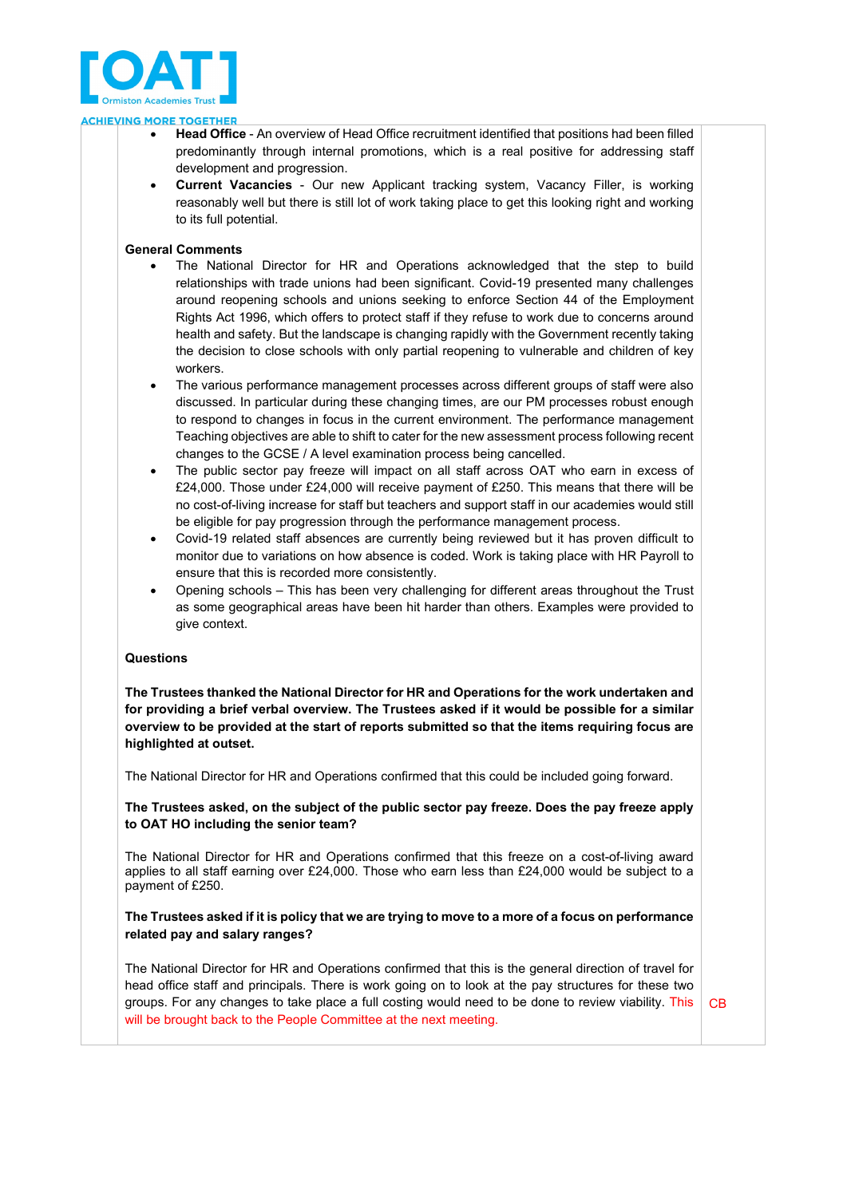

#### **ACHIEVING MORE TOGETHER**

- **Head Office** An overview of Head Office recruitment identified that positions had been filled predominantly through internal promotions, which is a real positive for addressing staff development and progression.
- **Current Vacancies** Our new Applicant tracking system, Vacancy Filler, is working reasonably well but there is still lot of work taking place to get this looking right and working to its full potential.

#### **General Comments**

- The National Director for HR and Operations acknowledged that the step to build relationships with trade unions had been significant. Covid-19 presented many challenges around reopening schools and unions seeking to enforce Section 44 of the Employment Rights Act 1996, which offers to protect staff if they refuse to work due to concerns around health and safety. But the landscape is changing rapidly with the Government recently taking the decision to close schools with only partial reopening to vulnerable and children of key workers.
- The various performance management processes across different groups of staff were also discussed. In particular during these changing times, are our PM processes robust enough to respond to changes in focus in the current environment. The performance management Teaching objectives are able to shift to cater for the new assessment process following recent changes to the GCSE / A level examination process being cancelled.
- The public sector pay freeze will impact on all staff across OAT who earn in excess of £24,000. Those under £24,000 will receive payment of £250. This means that there will be no cost-of-living increase for staff but teachers and support staff in our academies would still be eligible for pay progression through the performance management process.
- Covid-19 related staff absences are currently being reviewed but it has proven difficult to monitor due to variations on how absence is coded. Work is taking place with HR Payroll to ensure that this is recorded more consistently.
- Opening schools This has been very challenging for different areas throughout the Trust as some geographical areas have been hit harder than others. Examples were provided to give context.

#### **Questions**

**The Trustees thanked the National Director for HR and Operations for the work undertaken and for providing a brief verbal overview. The Trustees asked if it would be possible for a similar overview to be provided at the start of reports submitted so that the items requiring focus are highlighted at outset.** 

The National Director for HR and Operations confirmed that this could be included going forward.

**The Trustees asked, on the subject of the public sector pay freeze. Does the pay freeze apply to OAT HO including the senior team?** 

The National Director for HR and Operations confirmed that this freeze on a cost-of-living award applies to all staff earning over £24,000. Those who earn less than £24,000 would be subject to a payment of £250.

## **The Trustees asked if it is policy that we are trying to move to a more of a focus on performance related pay and salary ranges?**

The National Director for HR and Operations confirmed that this is the general direction of travel for head office staff and principals. There is work going on to look at the pay structures for these two groups. For any changes to take place a full costing would need to be done to review viability. This will be brought back to the People Committee at the next meeting. CB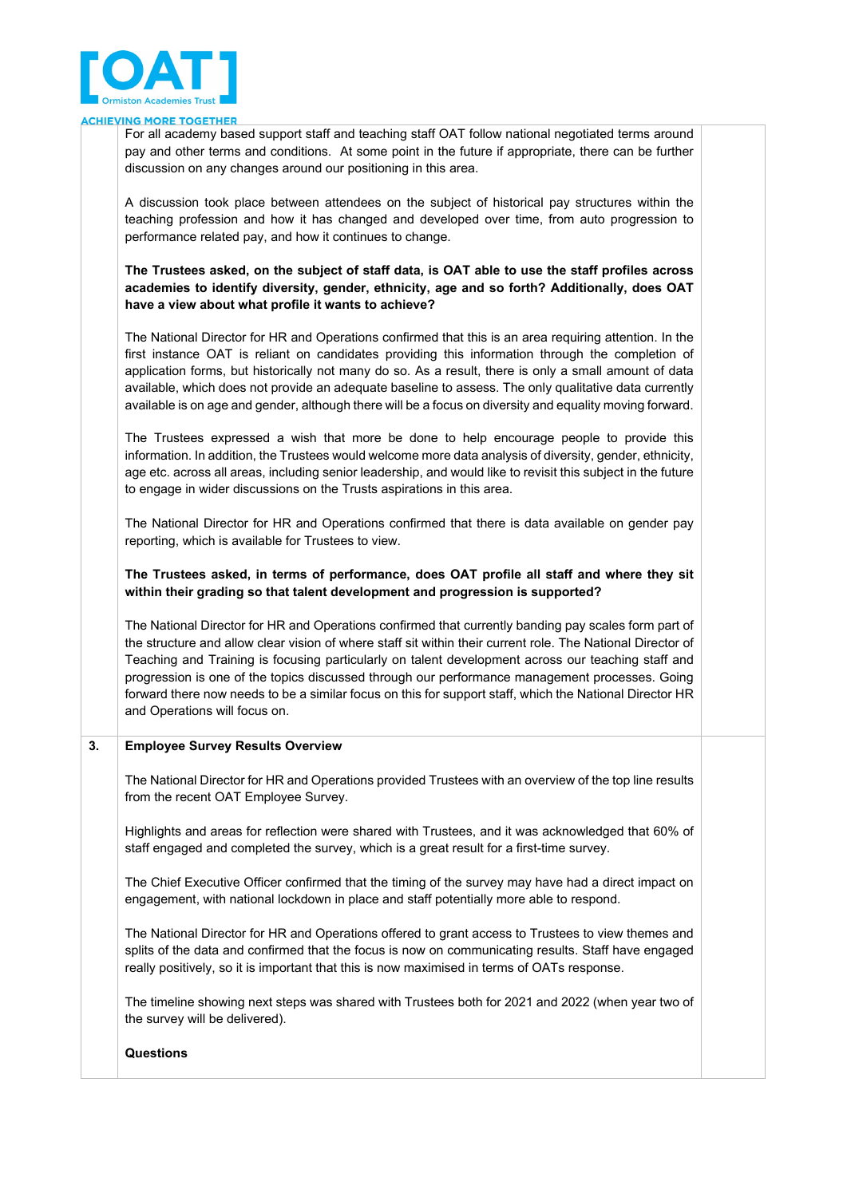

#### **ING MORE TOGETHER ACHIEV**

For all academy based support staff and teaching staff OAT follow national negotiated terms around pay and other terms and conditions. At some point in the future if appropriate, there can be further discussion on any changes around our positioning in this area.

A discussion took place between attendees on the subject of historical pay structures within the teaching profession and how it has changed and developed over time, from auto progression to performance related pay, and how it continues to change.

**The Trustees asked, on the subject of staff data, is OAT able to use the staff profiles across academies to identify diversity, gender, ethnicity, age and so forth? Additionally, does OAT have a view about what profile it wants to achieve?**

The National Director for HR and Operations confirmed that this is an area requiring attention. In the first instance OAT is reliant on candidates providing this information through the completion of application forms, but historically not many do so. As a result, there is only a small amount of data available, which does not provide an adequate baseline to assess. The only qualitative data currently available is on age and gender, although there will be a focus on diversity and equality moving forward.

The Trustees expressed a wish that more be done to help encourage people to provide this information. In addition, the Trustees would welcome more data analysis of diversity, gender, ethnicity, age etc. across all areas, including senior leadership, and would like to revisit this subject in the future to engage in wider discussions on the Trusts aspirations in this area.

The National Director for HR and Operations confirmed that there is data available on gender pay reporting, which is available for Trustees to view.

#### **The Trustees asked, in terms of performance, does OAT profile all staff and where they sit within their grading so that talent development and progression is supported?**

The National Director for HR and Operations confirmed that currently banding pay scales form part of the structure and allow clear vision of where staff sit within their current role. The National Director of Teaching and Training is focusing particularly on talent development across our teaching staff and progression is one of the topics discussed through our performance management processes. Going forward there now needs to be a similar focus on this for support staff, which the National Director HR and Operations will focus on.

#### **3. Employee Survey Results Overview**

The National Director for HR and Operations provided Trustees with an overview of the top line results from the recent OAT Employee Survey.

Highlights and areas for reflection were shared with Trustees, and it was acknowledged that 60% of staff engaged and completed the survey, which is a great result for a first-time survey.

The Chief Executive Officer confirmed that the timing of the survey may have had a direct impact on engagement, with national lockdown in place and staff potentially more able to respond.

The National Director for HR and Operations offered to grant access to Trustees to view themes and splits of the data and confirmed that the focus is now on communicating results. Staff have engaged really positively, so it is important that this is now maximised in terms of OATs response.

The timeline showing next steps was shared with Trustees both for 2021 and 2022 (when year two of the survey will be delivered).

#### **Questions**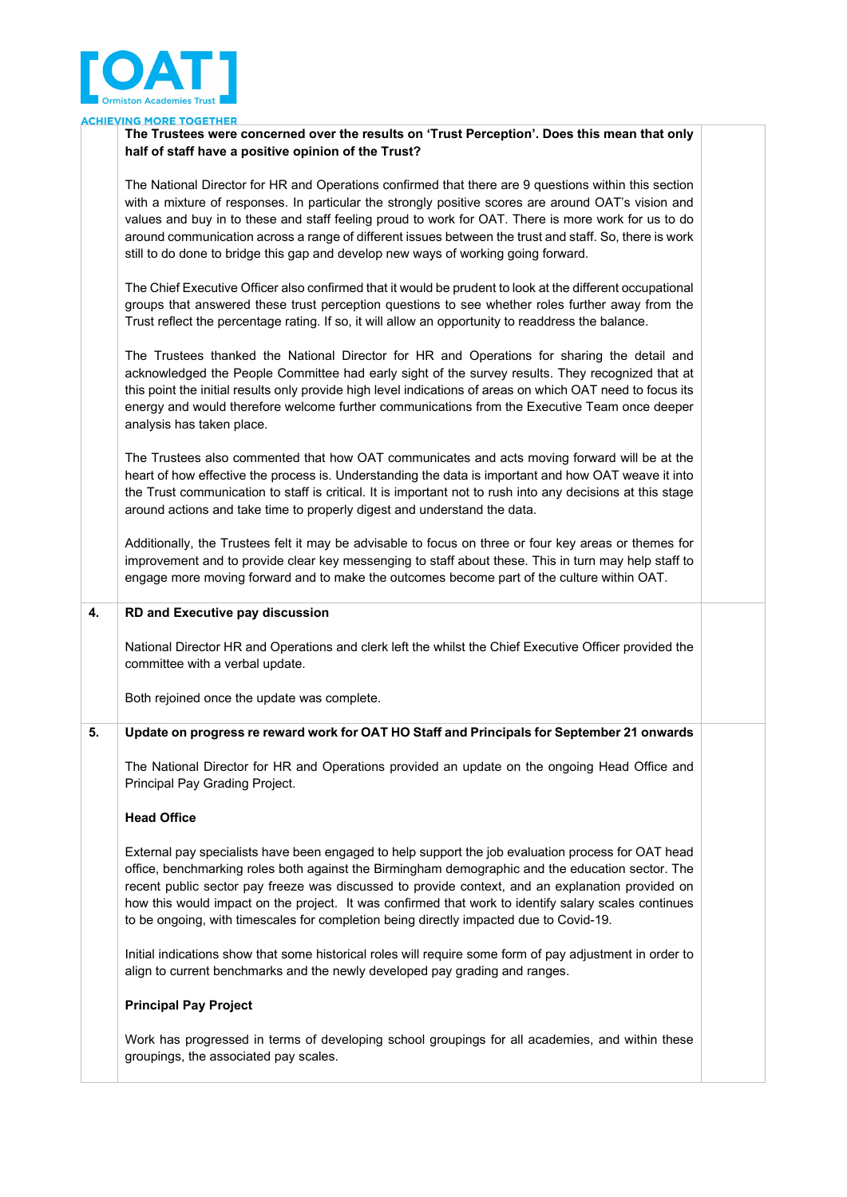

#### **ING MORE TOGETHER ACHIEV**

## **The Trustees were concerned over the results on 'Trust Perception'. Does this mean that only half of staff have a positive opinion of the Trust?**

The National Director for HR and Operations confirmed that there are 9 questions within this section with a mixture of responses. In particular the strongly positive scores are around OAT's vision and values and buy in to these and staff feeling proud to work for OAT. There is more work for us to do around communication across a range of different issues between the trust and staff. So, there is work still to do done to bridge this gap and develop new ways of working going forward.

The Chief Executive Officer also confirmed that it would be prudent to look at the different occupational groups that answered these trust perception questions to see whether roles further away from the Trust reflect the percentage rating. If so, it will allow an opportunity to readdress the balance.

The Trustees thanked the National Director for HR and Operations for sharing the detail and acknowledged the People Committee had early sight of the survey results. They recognized that at this point the initial results only provide high level indications of areas on which OAT need to focus its energy and would therefore welcome further communications from the Executive Team once deeper analysis has taken place.

The Trustees also commented that how OAT communicates and acts moving forward will be at the heart of how effective the process is. Understanding the data is important and how OAT weave it into the Trust communication to staff is critical. It is important not to rush into any decisions at this stage around actions and take time to properly digest and understand the data.

Additionally, the Trustees felt it may be advisable to focus on three or four key areas or themes for improvement and to provide clear key messenging to staff about these. This in turn may help staff to engage more moving forward and to make the outcomes become part of the culture within OAT.

#### **4. RD and Executive pay discussion**

National Director HR and Operations and clerk left the whilst the Chief Executive Officer provided the committee with a verbal update.

Both rejoined once the update was complete.

#### **5. Update on progress re reward work for OAT HO Staff and Principals for September 21 onwards**

The National Director for HR and Operations provided an update on the ongoing Head Office and Principal Pay Grading Project.

#### **Head Office**

External pay specialists have been engaged to help support the job evaluation process for OAT head office, benchmarking roles both against the Birmingham demographic and the education sector. The recent public sector pay freeze was discussed to provide context, and an explanation provided on how this would impact on the project. It was confirmed that work to identify salary scales continues to be ongoing, with timescales for completion being directly impacted due to Covid-19.

Initial indications show that some historical roles will require some form of pay adjustment in order to align to current benchmarks and the newly developed pay grading and ranges.

#### **Principal Pay Project**

Work has progressed in terms of developing school groupings for all academies, and within these groupings, the associated pay scales.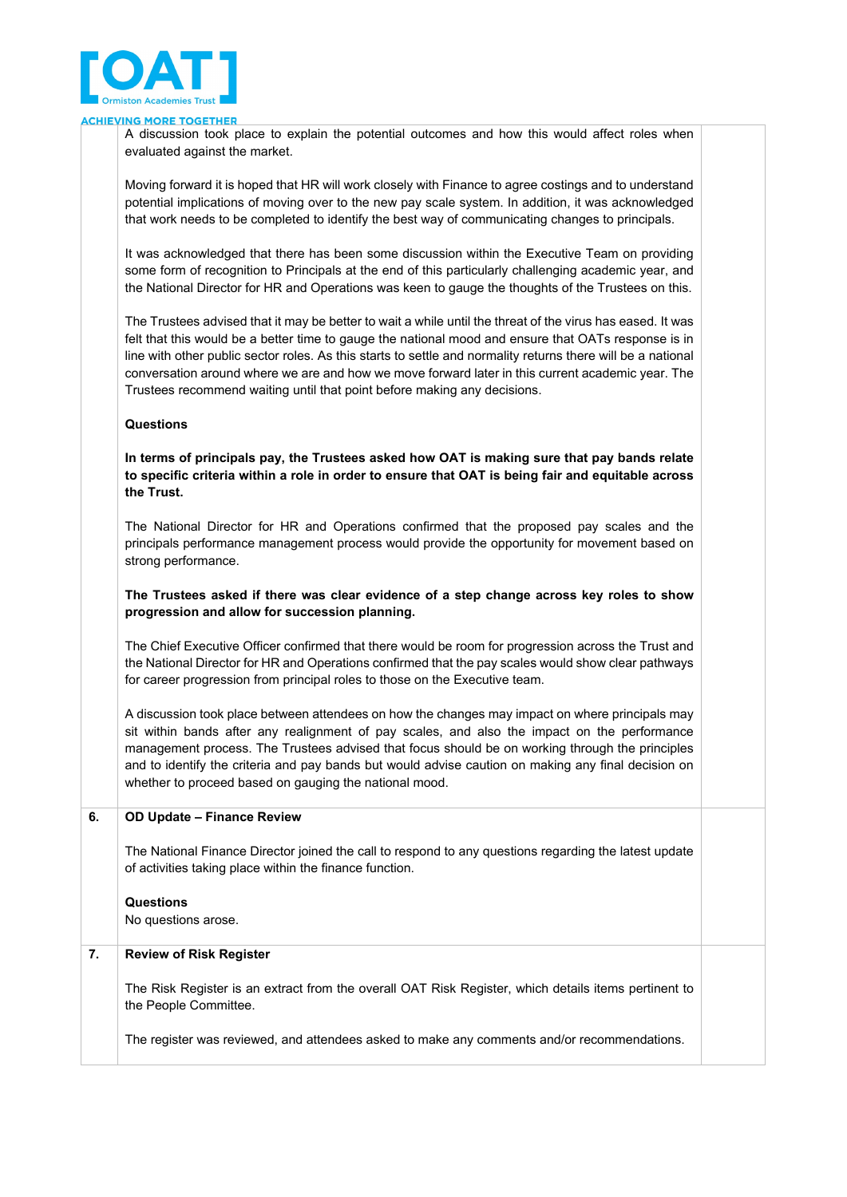

#### **ING MORE TOGETHER ACHIEV**

A discussion took place to explain the potential outcomes and how this would affect roles when evaluated against the market.

Moving forward it is hoped that HR will work closely with Finance to agree costings and to understand potential implications of moving over to the new pay scale system. In addition, it was acknowledged that work needs to be completed to identify the best way of communicating changes to principals.

It was acknowledged that there has been some discussion within the Executive Team on providing some form of recognition to Principals at the end of this particularly challenging academic year, and the National Director for HR and Operations was keen to gauge the thoughts of the Trustees on this.

The Trustees advised that it may be better to wait a while until the threat of the virus has eased. It was felt that this would be a better time to gauge the national mood and ensure that OATs response is in line with other public sector roles. As this starts to settle and normality returns there will be a national conversation around where we are and how we move forward later in this current academic year. The Trustees recommend waiting until that point before making any decisions.

#### **Questions**

**In terms of principals pay, the Trustees asked how OAT is making sure that pay bands relate to specific criteria within a role in order to ensure that OAT is being fair and equitable across the Trust.** 

The National Director for HR and Operations confirmed that the proposed pay scales and the principals performance management process would provide the opportunity for movement based on strong performance.

#### **The Trustees asked if there was clear evidence of a step change across key roles to show progression and allow for succession planning.**

The Chief Executive Officer confirmed that there would be room for progression across the Trust and the National Director for HR and Operations confirmed that the pay scales would show clear pathways for career progression from principal roles to those on the Executive team.

A discussion took place between attendees on how the changes may impact on where principals may sit within bands after any realignment of pay scales, and also the impact on the performance management process. The Trustees advised that focus should be on working through the principles and to identify the criteria and pay bands but would advise caution on making any final decision on whether to proceed based on gauging the national mood.

#### **6. OD Update – Finance Review**

The National Finance Director joined the call to respond to any questions regarding the latest update of activities taking place within the finance function.

**Questions**

No questions arose.

## **7. Review of Risk Register**

The Risk Register is an extract from the overall OAT Risk Register, which details items pertinent to the People Committee.

The register was reviewed, and attendees asked to make any comments and/or recommendations.